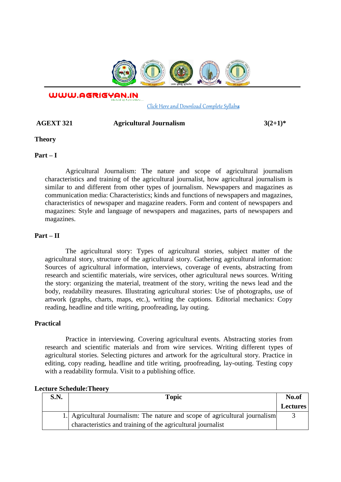

WWW.AGRIGYAN.IN

[Click Here and Download Complete Syllabus](http://agrigyan.in/)

## **AGEXT 321 Agricultural Journalism 3(2+1)\***

**Theory** 

 $\overline{a}$ 

**Part – I** 

Agricultural Journalism: The nature and scope of agricultural journalism characteristics and training of the agricultural journalist, how agricultural journalism is similar to and different from other types of journalism. Newspapers and magazines as communication media: Characteristics; kinds and functions of newspapers and magazines, characteristics of newspaper and magazine readers. Form and content of newspapers and magazines: Style and language of newspapers and magazines, parts of newspapers and magazines.

## **Part – II**

The agricultural story: Types of agricultural stories, subject matter of the agricultural story, structure of the agricultural story. Gathering agricultural information: Sources of agricultural information, interviews, coverage of events, abstracting from research and scientific materials, wire services, other agricultural news sources. Writing the story: organizing the material, treatment of the story, writing the news lead and the body, readability measures. Illustrating agricultural stories: Use of photographs, use of artwork (graphs, charts, maps, etc.), writing the captions. Editorial mechanics: Copy reading, headline and title writing, proofreading, lay outing.

## **Practical**

Practice in interviewing. Covering agricultural events. Abstracting stories from research and scientific materials and from wire services. Writing different types of agricultural stories. Selecting pictures and artwork for the agricultural story. Practice in editing, copy reading, headline and title writing, proofreading, lay-outing. Testing copy with a readability formula. Visit to a publishing office.

|  | <b>Lecture Schedule: Theory</b> |
|--|---------------------------------|
|--|---------------------------------|

| <b>S.N.</b> | <b>Topic</b>                                                                | No.of           |
|-------------|-----------------------------------------------------------------------------|-----------------|
|             |                                                                             | <b>Lectures</b> |
|             | 1. Agricultural Journalism: The nature and scope of agricultural journalism |                 |
|             | characteristics and training of the agricultural journalist                 |                 |